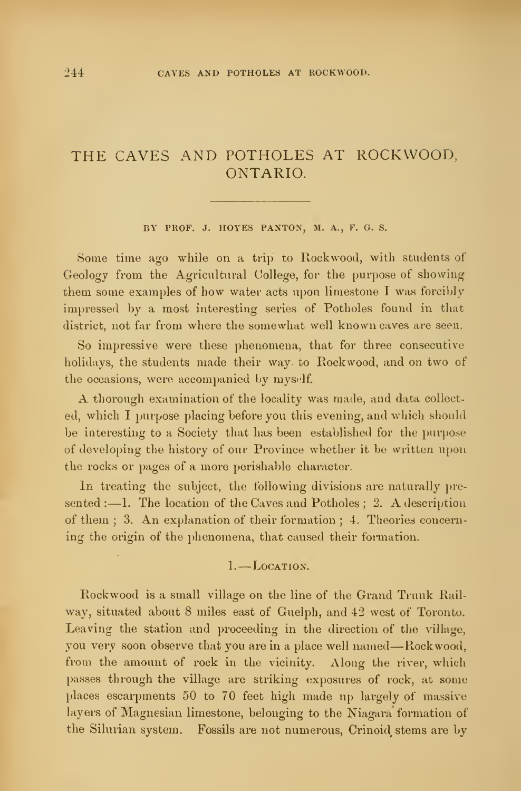# THE CAVES AND POTHOLES AT ROCKWOOD, ONTARIO.

#### BY PROF. J. HOYES PANTON, M. A., F. G. S.

Some time ago while on a trip to Rockwood, with students of Geology from the Agricultural College, for the purpose of showing them some examples of how water acts upon limestone <sup>I</sup> was forcibly impressed by a most interesting series of Potholes found in that district, not far from where the somewhat well known caves are seen.

So impressive were these phenomena, that for three consecutive holidays, the students made their way to Rockwood, and on two of the occasions, were accompanied by myself.

A thorough examination of the locality was made, and data collect ed, which I purpose placing before you this evening, and which should be interesting to a Society that has been established for the purpose of developing the history of our Province whether it be written upon the rocks or pages of a more perishable character.

In treating the subject, the following divisions are naturally presented  $: -1$ . The location of the Caves and Potholes ; 2. A description of them ; 3. An explanation of their formation ; 4. Theories concern ing the origin of the phenomena, that caused their formation.

#### 1. Location.

Rockwood is a small village on the line of the Grand Trunk Rail way, situated about 8 miles east of Guelph, and 42 west of Toronto. Leaving the station and proceeding in the direction of the village, you very soon observe that you are in <sup>a</sup> place well named—Rockwood, from the amount of rock in the vicinity. Along the river, which passes through the village are striking exposures of rock, at some places escarpments 50 to 70 feet high made up largely of massive layers of Magnesian limestone, belonging to the Niagara formation of the Silurian system. Fossils are not numerous, Crinoid^ stems are by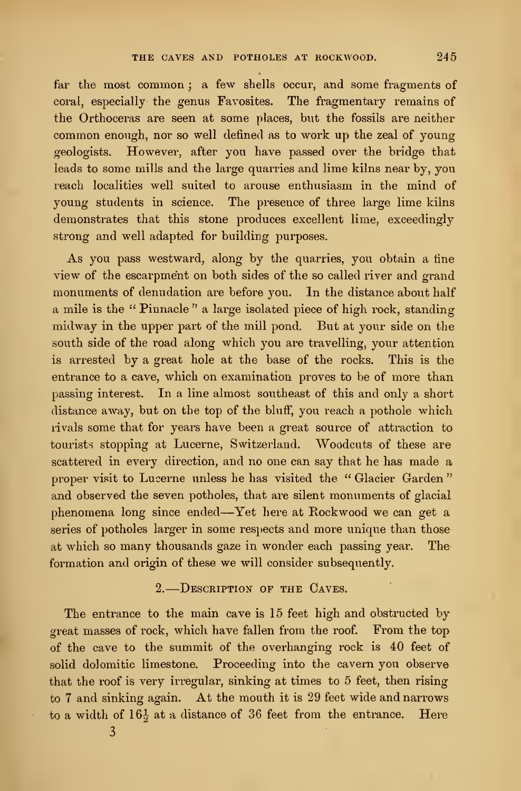far the most common; a few shells occur, and some fragments of coral, especially the genus Favosites. The fragmentary remains of the Orthoceras are seen at some places, but the fossils are neither common enough, nor so well defined as to work up the zeal of young geologists. However, after you have passed over the bridge that leads to some mills and the large quarries and lime kilns near by, you reach localities well suited to arouse enthusiasm in the mind of young students in science. The presence of three large lime kilns demonstrates that this stone produces excellent lime, exceedingly strong and well adapted for building purposes.

As you pass westward, along by the quarries, you obtain a fine view of the escarpment on both sides of the so called river and grand monuments of denudation are before you. In the distance about half a mile is the " Pinnacle " a large isolated piece of high rock, standing midway in the upper part of the mill pond. But at your side on the south side of the road along which you are travelling, your attention is arrested by a great hole at the base of the rocks. This is the entrance to a cave, which on examination proves to be of more than passing interest. In a line almost southeast of this and only a short  $distance$  away, but on the top of the bluff, you reach a pothole which rivals some that for years have been a great source of attraction to tourists stopping at Lucerne, Switzerland. Woodcuts of these are scattered in every direction, and no one can say that he has made a proper visit to Lucerne unless he has visited the " Glacier Garden " and observed the seven potholes, that are silent monuments of glacial phenomena long since ended—Yet here at Rockwood we can get <sup>a</sup> series of potholes larger in some respects and more unique than those at which so many thousands gaze in wonder each passing year. The formation and origin of these we will consider subsequently.

#### 2. Description op the Caves.

The entrance to the main cave is 15 feet high and obstructed by great masses of rock, which have fallen from the roof. From the top of the cave to the summit of the overhanging rock is 40 feet of solid dolomitic limestone. Proceeding into the cavern you observe that the roof is very irregular, sinking at times to 5 feet, then rising to <sup>7</sup> and sinking again. At the mouth it is 29 feet wide and narrows to a width of  $16\frac{1}{2}$  at a distance of 36 feet from the entrance. Here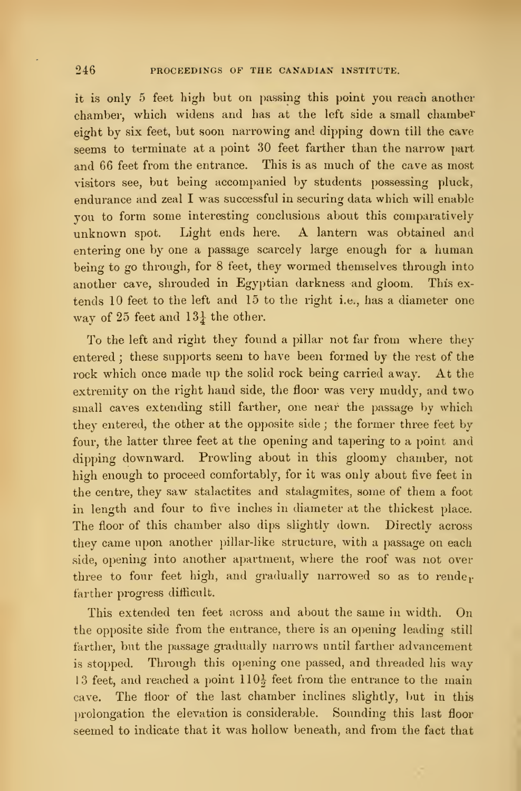it is only 5 feet high but on passing this point you reach another chamber, which widens and has at the left side a small chamber eight by six feet, but soon narrowing and dipping down till the cave seems to terminate at a point 30 feet farther than the narrow part and 66 feet from the entrance. This is as much of the cave as most visitors see, but being accompanied by students possessing pluck, endurance and zeal I was successful in securing data which will enable you to form some interesting conclusions about this comparatively unknown spot. Light ends here. A lantern was obtained and entering one by one a passage scarcely large enough for a human being to go through, for 8 feet, they wormed themselves through into another cave, shrouded in Egyptian darkness and gloom. This ex tends 10 feet to the left and 15 to the right i.e., has a diameter one way of 25 feet and  $13\frac{1}{4}$  the other.

To the left and right they found a pillar not far from where they entered ; these supports seem to have been formed by the rest of the rock which once made up the solid rock being carried away. At the extremity on the right hand side, the floor was very muddy, and two small caves extending still farther, one near the passage by which they entered, the other at the opposite side ; the former three feet by four, the latter three feet at the opening and tapering to a point and dipping downward. Prowling about in this gloomy chamber, not high enough to proceed comfortably, for it was only about five feet in the centre, they saw stalactites and stalagmites, some of them a foot in length and four to five inches in diameter at the thickest place. The floor of this chamber also dips slightly down. Directly across they came upon another pillar-like structure, with a passage on each side, opening into another apartment, where the roof was not over three to four feet high, and gradually narrowed so as to rende $r$ farther progress diflicult.

This extended ten feet across and about the same in width. On the opposite side from the entrance, there is an opening leading still farther, but the passage gradually narrows until farther advancement is stopped. Through this opening one passed, and threaded his way 13 feet, and reached a point  $110\frac{1}{2}$  feet from the entrance to the main cave. The floor of the last chamber inclines slightly, but in this prolongation the elevation is considerable. Sounding this last floor seemed to indicate that it was hollow beneath, and from the fact that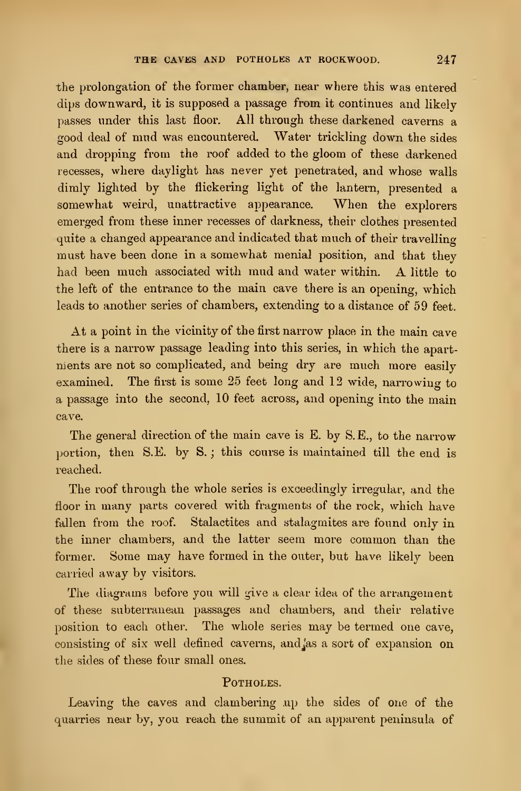the prolongation of the former chamber, near where this was entered dips downward, it is supposed a passage from it continues and likely passes under this last floor. All through these darkened caverns a good deal of mud was encountered. Water trickling down the sides and dropping from the roof added to the gloom of these darkened recesses, where daylight has never yet penetrated, and whose walls dimly lighted by the flickering light of the lantern, presented a somewhat weird, unattractive appearance. When the explorers emerged from these inner recesses of darkness, their clothes presented quite a changed appearance and indicated that much of their travelling must have been done in a somewhat menial position, and that they had been much associated with mud and water within. A little to the left of the entrance to the main cave there is an opening, which leads to another series of chambers, extending to a distance of 59 feet.

At a point in the vicinity of the first narrow place in the main cave there is a narrow passage leading into this series, in which the apartnients are not so complicated, and being dry are much more easily examined. The first is some 25 feet long and 12 wide, narrowing to a passage into the second, 10 feet across, and opening into the main cave.

The general direction of the main cave is E. by S.E., to the narrow portion, then S.E. by S. ; this course is maintained till the end is reached.

The roof through the whole series is exceedingly irregular, and the floor in many parts covered with fragments of the rock, which have fallen from the roof. Stalactites and stalagmites are found only in the inner chambers, and the latter seem more common than the former. Some may have formed in the outer, but have likely been carried away by visitors.

The diagrams before you will give a clear idea of the arrangement of these subterranean passages and chambers, and their relative position to each other. The whole series may be termed one cave, consisting of six well defined caverns, andjas a sort of expansion on the sides of these four small ones.

## POTHOLES.

Leaving the caves and clambering up the sides of one of the quarries near by, you reach the summit of an apparent peninsula of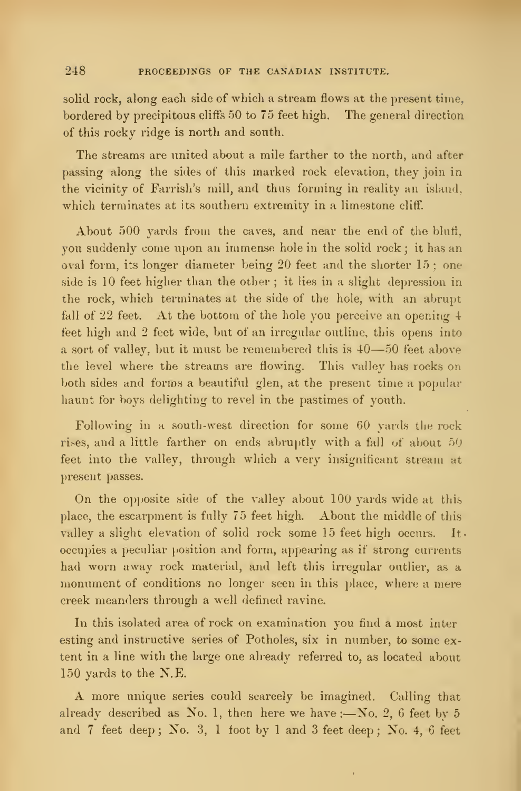solid rock, along each side of which a stream flows at the present time, bordered by precipitous cliffs 50 to 75 feet high. The general direction of this rocky ridge is north and south.

The streams are united about a mile farther to the north, and after passing along the sides of this marked rock elevation, they join in the vicinity of Farrish's mill, and thus forming in reality an island, which terminates at its southern extremity in a limestone cliff.

About  $500$  yards from the caves, and near the end of the bluff, you suddenly come upon an immense hole in the solid rock ; it has an oval form, its longer diameter being 20 feet and the shorter 15 ; one side is 10 feet higher than the other ; it lies in a slight depression in the rock, which terminates at the side of the hole, with an abrupt fall of 22 feet. At the bottom of the hole you perceive an opening 4 feet high and 2 feet wide, but of an irregular outline, this opens into <sup>a</sup> sort of valley, but it must be remembered this is <sup>40</sup>—<sup>50</sup> feet above the level where the streams are flowing. This valley has rocks on both sides and forms a beautiful glen, at the present time a popular haunt for boys delighting to revel in the pastimes of youth.

Following in a south-west direction for some GO yards the rock rises, and a little farther on ends abruptly with a fall of about 50 feet into the valley, through which a very insignificant stream at present passes.

On the opposite side of the valley about  $100$  vards wide at this place, the escarpment is fully 75 feet high. About the middle of this valley a slight elevation of solid rock some 15 feet high occurs. It occupies a peculiar position and form, appearing as if strong currents had worn away rock material, and left this irregular outlier, as a monument of conditions no longer seen in this place, where a mere creek meanders through a well defined ravine.

In this isolated area of rock on examination you find a most inter esting and instructive series of Potholes, six in number, to some extent in a line with the large one already referred to, as located about 150 yards to the N.E.

A more unique series could scarcely be imagined. Calling that already described as No. 1, then here we have :- No. 2, 6 feet by 5 and 7 feet deep; No. 3, 1 foot by 1 and 3 feet deep; No. 4, 6 feet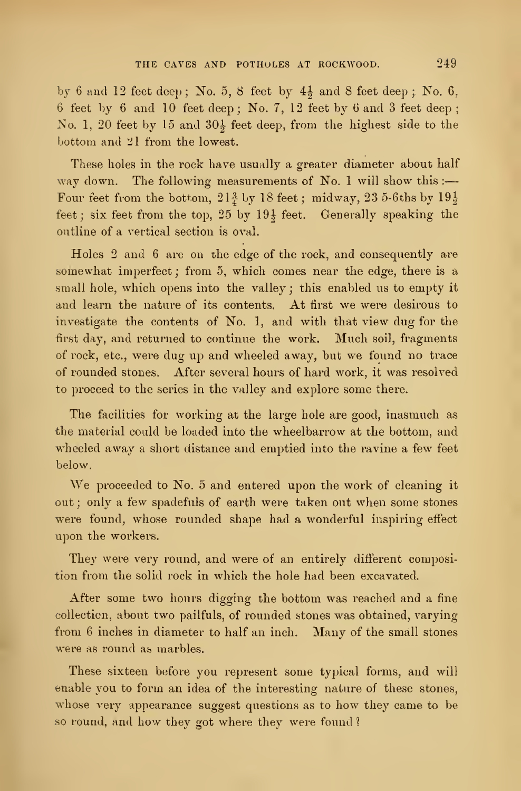by 6 and 12 feet deep; No. 5, 8 feet by  $4\frac{1}{2}$  and 8 feet deep; No. 6, 6 feet by 6 and 10 feet deep; No. 7, 12 feet by 6 and 3 feet deep; No. 1, 20 feet by 15 and  $30\frac{1}{5}$  feet deep, from the highest side to the bottom and 21 from the lowest.

These holes in the rock have usually a greater diameter about half way down. The following measurements of No. 1 will show this :-Four feet from the bottom,  $21\frac{3}{4}$  by 18 feet; midway, 23 5-6ths by  $19\frac{1}{2}$ feet; six feet from the top,  $25$  by  $19\frac{1}{2}$  feet. Generally speaking the outline of a vertical section is oval.

Holes 2 and 6 are on the edge of the rock, and consequently are somewhat imperfect ; from 5, which comes near the edge, there is a small hole, which opens into the valley ; this enabled us to empty it and learn the nature of its contents. At first we were desirous to investigate the contents of No. 1, and with that view dug for the first day, and returned to continue the work. Much soil, fragments of rock, etc., were dug up and wheeled away, but we found no trace of rounded stones. After several hours of hard work, it was resolved to proceed to the series in the valley and explore some there.

The facilities for working at the large hole are good, inasmuch as the material could be loaded into the wheelbarrow at the bottom, and wheeled away a short distance and emptied into the ravine a few feet below.

We proceeded to No. <sup>5</sup> and entered upon the work of cleaning it out ; only a few spadefuls of earth were taken out when some stones were found, whose rounded shape had a wonderful inspiring effect upon the workers.

They were very round, and were of an entirely different composition from the solid rock in which the hole liad been excavated.

After some two hours digging the bottom was reached and a fine collection, about two pailfuls, of rounded stones was obtained, varying from <sup>6</sup> inches in diameter to half an inch. Many of the small stones were as round as marbles.

These sixteen before you represent some typical forms, and will enable you to form an idea of the interesting nature of these stones, whose very appearance suggest questions as to how they came to be so round, and how they got where they were found ?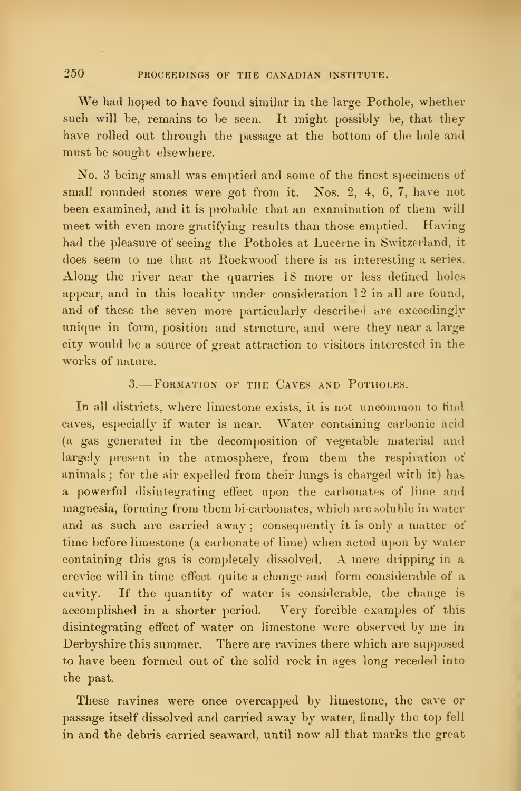250 PROCEEDINGS OF THE CANADIAN INSTITUTE.

We had hoped to have found similar in the large Pothole, whether such will be, remains to be seen. It might possibly be, that they have rolled out through the passage at the bottom of the hole and must be sought elsewhere.

No. 3 being small was emptied and some of the finest specimens of small rounded stones were got from it. Nos. 2, 4, 6, 7, have not been examined, and it is probable that an examination of them will meet with even more gratifying results than those emptied. Having had the pleasure of seeing the Potholes at Lucerne in Switzerland, it does seem to me that at Rockwood there is as interesting <sup>a</sup> series. Along the river near the quarries  $18$  more or less defined holes appear, and in this locality under consideration 12 in all are found, and of these the seven more particularly describeil are exceedingly unique in form, position and structure, and were they near a large city would be a source of gieat attraction to visitors interested in the works of nature.

## 3. Formation of the Caves and Potholes.

In all districts, where limestone exists, it is not uncommon to find caves, especially if water is near. Water containing carbonic acid (a gas generated in the decomposition of vegetable material and largely present in the atmosphere, from them the respiration of animals ; for the air expelled from their lungs is charged with it) has a powerful disintegrating effect upon the carbonates of lime and magnesia, forming from them bi-carbonates, which are soluble in water and as such are carried away; consequently it is only a matter of time before limestone (a carbonate of lime) when acted upon by water containing this gas is completely dissolved. A mere dripping in a crevice will in time effect quite a change and form considerable of a cavity. If the quantity of water is considerable, the change is accomplished in a shorter period. Very forcible examples of this disintegrating effect of water on limestone were observed by me in Derbyshire this summer. There are ravines there which are supposed to have been formed out of the solid rock in ages long receded into the past.

These ravines were once overcapped by limestone, the cave or passage itself dissolved and carried away by water, finally the top fell in and the debris carried seaward, until now all that marks the great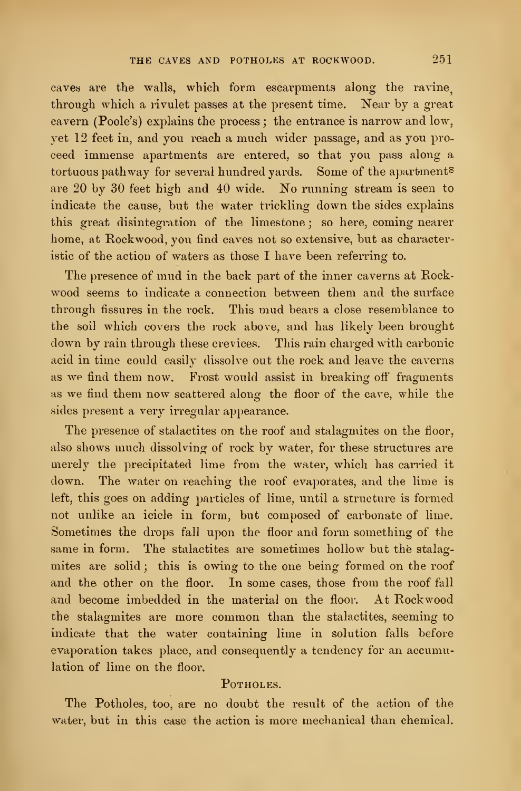caves are the walls, which form escarpments along the ravine. through which a rivulet passes at the present time. Near by a great cavern (Poole's) explains the process ; the entrance is narrow and low, yet 12 feet in, and you reach a much wider passage, and as you pro ceed immense apartments are entered, so that you pass along a tortuous pathway for several hundred yards. Some of the apartments are 20 by 30 feet high and 40 wide. No running stream is seen to indicate the cause, but the water trickling down the sides explains this great disintegration of the limestone ; so here, coming nearer home, at Rockwood, you find caves not so extensive, but as characteristic of the action of waters as those I have been referring to.

The presence of mud in the back part of the inner caverns at Rockwood seems to indicate a connection between them and the surface through fissures in the rock. This mud bears a close resemblance to the soil which covers the rock above, and has likely been brought down by rain through these crevices. This rain charged with carbonic acid in time could easily dissolve out the rock and leave the caverns as we find them now. Frost would assist in breaking off fragments as we find them now scattered along the floor of the cave, while the sides present a very irregular appearance.

The presence of stalactites on the roof and stalagmites on the floor, also shows much dissolving of rock by water, for these structures are merely the precipitated lime from the water, which has carried it down. The water on reaching the roof evaporates, and the lime is left, this goes on adding particles of lime, until a structure is formed not unlike an icicle in form, but composed of carbonate of lime. Sometimes the drops fall upon the floor and form something of the same in form. The stalactites are sometimes hollow but the stalagmites are solid ; this is owing to the one being formed on the roof and the other on the floor. In some cases, those from the roof fall and become imbedded in the material on the floor. At Rockwood the stalagmites are more common than the stalactites, seeming to indicate that the water containing lime in solution falls before evaporation takes place, and consequently a tendency for an accumulation of lime on the floor.

## POTHOLES.

The Potholes, too, are no doubt the result of the action of the water, but in this case the action is more mechanical than chemical.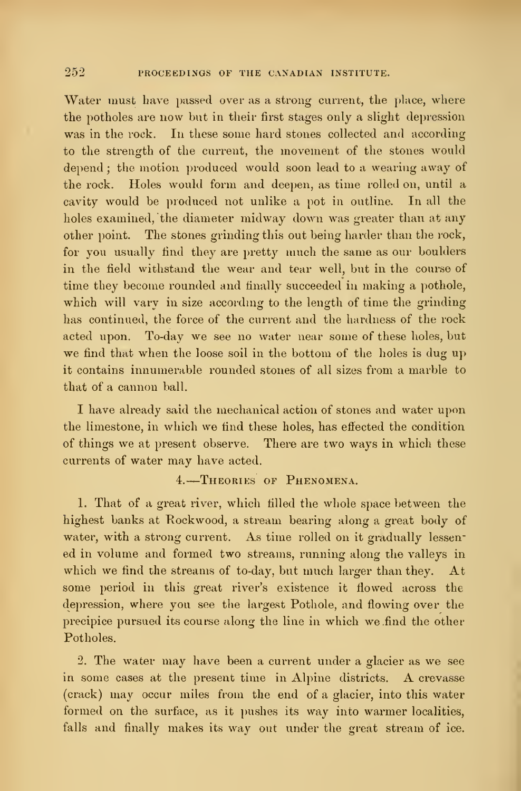Water must have passed over as a strong current, the place, where the potholes are now but in their first stages only a slight depression was in the rock. In these some hard stones collected and according to the strength of the current, the movement of the stones would depend ; the motion produced would soon lead to a wearing away of the rock. Holes would form and deepen, as time rolled on, until a cavity would be produced not unlike a pot in outline. In all the holes examined, the diameter midway down was greater than at any other point. The stones grinding this out being harder than the rock, for you usually find they are pretty much the same as our boulders in the field withstand the wear and tear well, but in the course of time they become rounded and finally succeeded in making a pothole, which will vary in size according to the length of time the grinding has continued, the force of the current and the hardness of the rock acted upon. To-day we see no water near some of these holes, but we find that when the loose soil in the bottom of the holes is dug up it contains innumerable rounded stones of all sizes from a marble to that of a cannon ball.

I have already said the mechanical action of stones and water upon the limestone, in which we find these holes, has effected the condition of things we at present observe. There are two ways in which these currents of water may have acted.

#### 4. Theories of Phenomena.

1. That of a great river, which filled the whole space between the highest banks at Kockwood, a stream bearing along a great body of water, with a strong current. As time rolled on it gradually lessened in volume and formed two streams, running along the valleys in which we find the streams of to-day, but much larger than they. At some period in this great river's existence it flowed across the depression, where you see the largest Pothole, and flowing over the precipice pursued its course along the line in which we find the other Potholes.

2. The water may have been a current under a glacier as we see in some cases at the present time in Alpine districts. A crevasse (crack) may occur miles from the end of a glacier, into this water formed on the surface, as it pushes its way into warmer localities, falls and finally makes its way out under the great stream of ice.